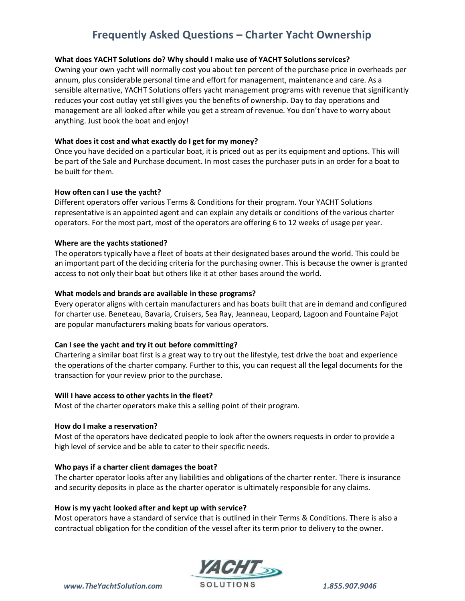# **Frequently Asked Questions – Charter Yacht Ownership**

# **What does YACHT Solutions do? Why should I make use of YACHT Solutions services?**

Owning your own yacht will normally cost you about ten percent of the purchase price in overheads per annum, plus considerable personal time and effort for management, maintenance and care. As a sensible alternative, YACHT Solutions offers yacht management programs with revenue that significantly reduces your cost outlay yet still gives you the benefits of ownership. Day to day operations and management are all looked after while you get a stream of revenue. You don't have to worry about anything. Just book the boat and enjoy!

#### **What does it cost and what exactly do I get for my money?**

Once you have decided on a particular boat, it is priced out as per its equipment and options. This will be part of the Sale and Purchase document. In most cases the purchaser puts in an order for a boat to be built for them.

#### **How often can I use the yacht?**

Different operators offer various Terms & Conditions for their program. Your YACHT Solutions representative is an appointed agent and can explain any details or conditions of the various charter operators. For the most part, most of the operators are offering 6 to 12 weeks of usage per year.

#### **Where are the yachts stationed?**

The operators typically have a fleet of boats at their designated bases around the world. This could be an important part of the deciding criteria for the purchasing owner. This is because the owner is granted access to not only their boat but others like it at other bases around the world.

#### **What models and brands are available in these programs?**

Every operator aligns with certain manufacturers and has boats built that are in demand and configured for charter use. Beneteau, Bavaria, Cruisers, Sea Ray, Jeanneau, Leopard, Lagoon and Fountaine Pajot are popular manufacturers making boats for various operators.

# **Can I see the yacht and try it out before committing?**

Chartering a similar boat first is a great way to try out the lifestyle, test drive the boat and experience the operations of the charter company. Further to this, you can request all the legal documents for the transaction for your review prior to the purchase.

#### **Will I have access to other yachts in the fleet?**

Most of the charter operators make this a selling point of their program.

#### **How do I make a reservation?**

Most of the operators have dedicated people to look after the owners requests in order to provide a high level of service and be able to cater to their specific needs.

# **Who pays if a charter client damages the boat?**

The charter operator looks after any liabilities and obligations of the charter renter. There is insurance and security deposits in place as the charter operator is ultimately responsible for any claims.

#### **How is my yacht looked after and kept up with service?**

Most operators have a standard of service that is outlined in their Terms & Conditions. There is also a contractual obligation for the condition of the vessel after its term prior to delivery to the owner.